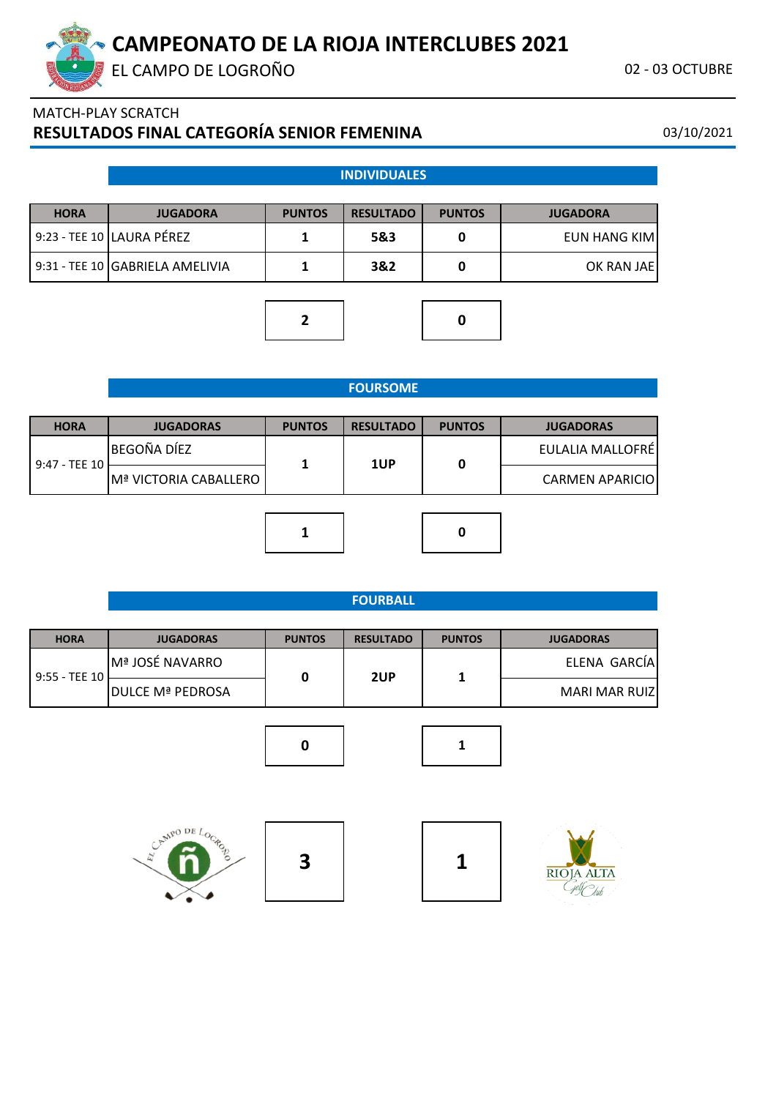

EL CAMPO DE LOGROÑO CONSTANTE EN 1989 DE LOGROÑO CONSTANTE EN 1989 DE LOGROÑO CONSTANTE EN 1989 DE LOGROÑO COM

# MATCH-PLAY SCRATCH **RESULTADOS FINAL CATEGORÍA SENIOR FEMENINA** 03/10/2021

#### **INDIVIDUALES**

| <b>HORA</b> | <b>JUGADORA</b>                   | <b>PUNTOS</b> | <b>RESULTADO</b> | <b>PUNTOS</b> | <b>JUGADORA</b> |
|-------------|-----------------------------------|---------------|------------------|---------------|-----------------|
|             | l 9:23 - TEE 10 lLAURA PÉREZ      |               | 5&3              |               | EUN HANG KIMI   |
|             | 9:31 - TEE 10   GABRIELA AMELIVIA |               | 3&2              |               | OK RAN JAEI     |

**2 0**



#### **FOURSOME**

| <b>HORA</b>   | <b>JUGADORAS</b>      | <b>PUNTOS</b> | <b>RESULTADO</b> | <b>PUNTOS</b> | <b>JUGADORAS</b>       |
|---------------|-----------------------|---------------|------------------|---------------|------------------------|
|               | BEGOÑA DÍEZ           |               | 1UP              | 0             | EULALIA MALLOFRÉ       |
| 9:47 - TEE 10 | Mª VICTORIA CABALLERO |               |                  |               | <b>CARMEN APARICIO</b> |
|               |                       |               |                  |               |                        |
|               |                       |               |                  | 0             |                        |

#### **FOURBALL**

| <b>HORA</b>   | <b>JUGADORAS</b>       | <b>PUNTOS</b> | <b>RESULTADO</b> | <b>PUNTOS</b> | <b>JUGADORAS</b> |
|---------------|------------------------|---------------|------------------|---------------|------------------|
| 9:55 - TEE 10 | <b>Mª JOSÉ NAVARRO</b> |               | 2UP              |               | ELENA GARCÍA     |
|               | ldulce mª pedrosa      |               |                  |               | MARI MAR RUIZ    |









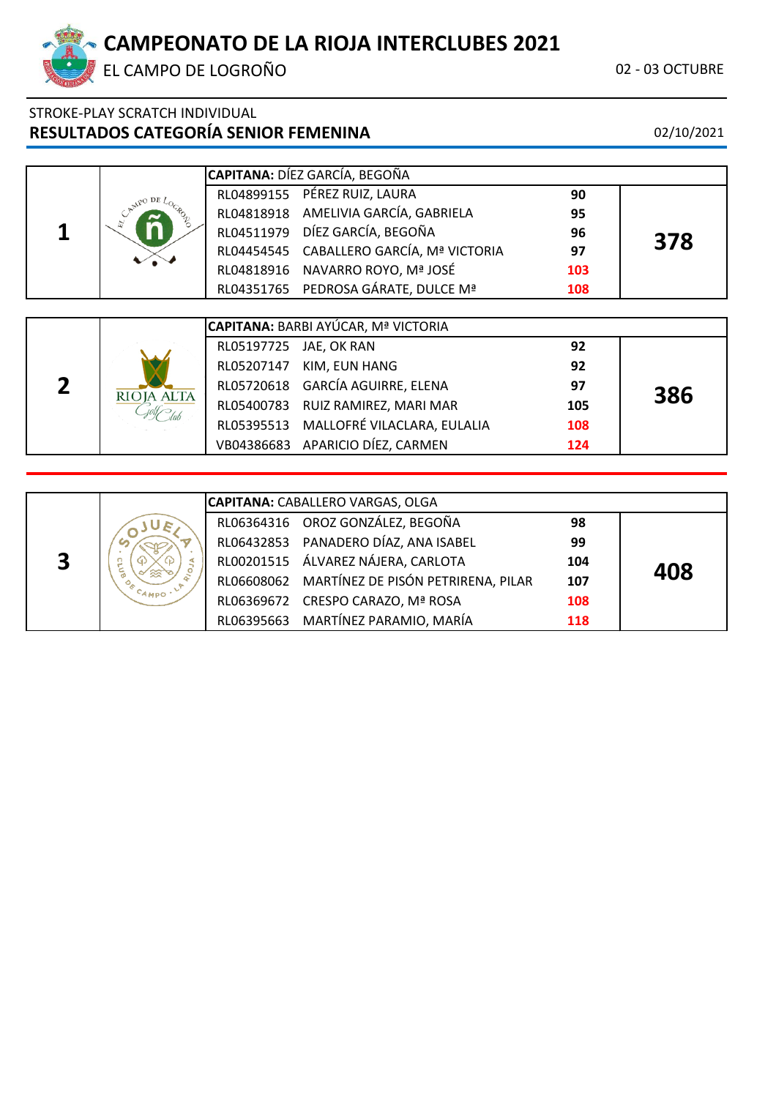EL CAMPO DE LOGROÑO **02 - 03 OCTUBRE** 

# STROKE-PLAY SCRATCH INDIVIDUAL **RESULTADOS CATEGORÍA SENIOR FEMENINA** 02/10/2021

|  |  | CAPITANA: DÍEZ GARCÍA, BEGOÑA            |     |     |
|--|--|------------------------------------------|-----|-----|
|  |  | RL04899155 PÉREZ RUIZ, LAURA             | 90  |     |
|  |  | RL04818918 AMELIVIA GARCÍA, GABRIELA     | 95  |     |
|  |  | RL04511979 DÍEZ GARCÍA, BEGOÑA           | 96  | 378 |
|  |  | RL04454545 CABALLERO GARCÍA, Mª VICTORIA | 97  |     |
|  |  | RL04818916 NAVARRO ROYO, Mª JOSÉ         | 103 |     |
|  |  | RL04351765 PEDROSA GÁRATE, DULCE Mª      | 108 |     |

|  |            |                        | <b>CAPITANA:</b> BARBI AYÚCAR, Mª VICTORIA |     |     |
|--|------------|------------------------|--------------------------------------------|-----|-----|
|  |            | RL05197725 JAE, OK RAN |                                            | 92  |     |
|  |            |                        | RL05207147 KIM, EUN HANG                   | 92  |     |
|  | RIOJA ALTA |                        | RL05720618 GARCÍA AGUIRRE, ELENA           | 97  | 386 |
|  |            |                        | RL05400783 RUIZ RAMIREZ, MARI MAR          | 105 |     |
|  |            |                        | RL05395513 MALLOFRÉ VILACLARA, EULALIA     | 108 |     |
|  |            |                        | VB04386683 APARICIO DÍEZ, CARMEN           | 124 |     |

|   |                     | <b>CAPITANA: CABALLERO VARGAS, OLGA</b>       |     |     |
|---|---------------------|-----------------------------------------------|-----|-----|
|   |                     | RL06364316 OROZ GONZÁLEZ, BEGOÑA              | 98  |     |
|   |                     | RL06432853 PANADERO DÍAZ, ANA ISABEL          | 99  |     |
| 3 |                     | RL00201515 ÁLVAREZ NÁJERA, CARLOTA            | 104 | 408 |
|   |                     | RL06608062 MARTÍNEZ DE PISÓN PETRIRENA, PILAR | 107 |     |
|   | <sup>C</sup> AMPO ' | RL06369672 CRESPO CARAZO, Mª ROSA             | 108 |     |
|   |                     | RL06395663 MARTÍNEZ PARAMIO, MARÍA            | 118 |     |

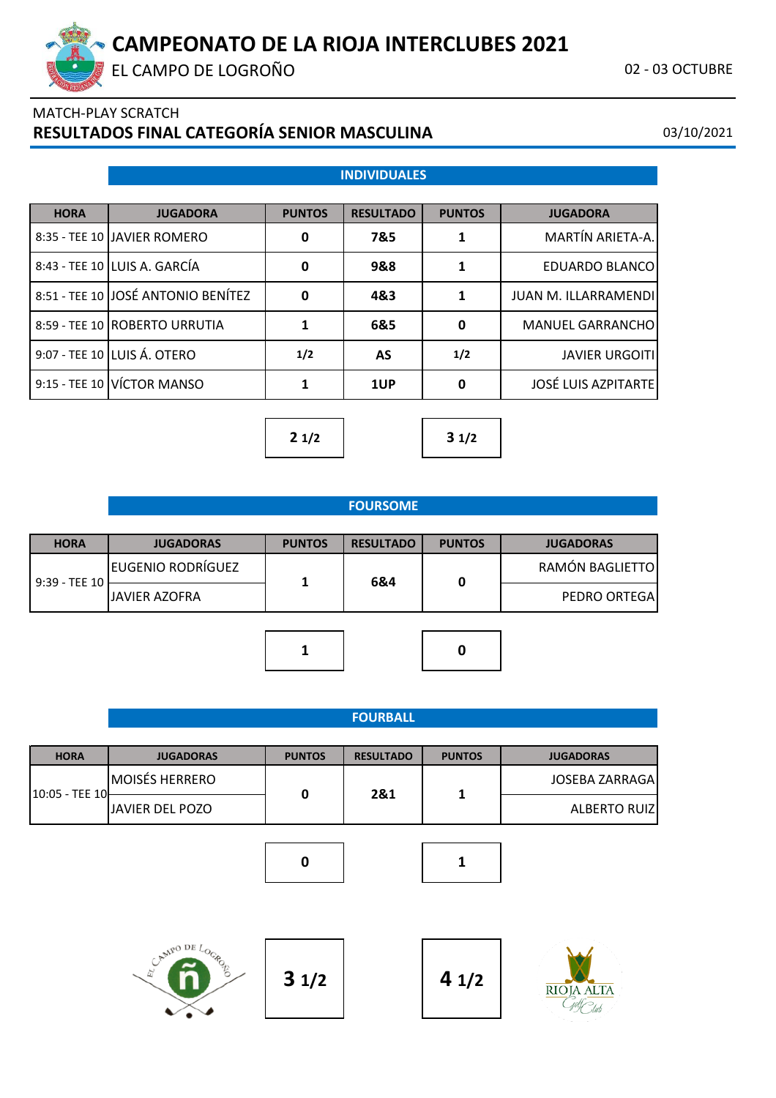EL CAMPO DE LOGROÑO CONSTANTE EN 1989 DE LOGROÑO CONSTANTE EN 1989 DE LOGROÑO CONSTANTE EN 1989 DE LOGROÑO COM

# MATCH-PLAY SCRATCH **RESULTADOS FINAL CATEGORÍA SENIOR MASCULINA** 03/10/2021

|  |  | <b>INDIVIDUALES</b> |
|--|--|---------------------|
|  |  |                     |

| <b>HORA</b> | <b>JUGADORA</b>                    | <b>PUNTOS</b> | <b>RESULTADO</b> | <b>PUNTOS</b> | <b>JUGADORA</b>             |
|-------------|------------------------------------|---------------|------------------|---------------|-----------------------------|
|             | 8:35 - TEE 10 JAVIER ROMERO        | 0             | 7&5              |               | MARTÍN ARIETA-A.            |
|             | 8:43 - TEE 10 LUIS A. GARCÍA       | 0             | 9&8              |               | EDUARDO BLANCO              |
|             | 8:51 - TEE 10 JOSÉ ANTONIO BENÍTEZ | 0             | 4&3              |               | <b>JUAN M. ILLARRAMENDI</b> |
|             | 8:59 - TEE 10   ROBERTO URRUTIA    | 1             | 6&5              | $\bf{0}$      | MANUEL GARRANCHO            |
|             | 9:07 - TEE 10 LUIS Á. OTERO        | 1/2           | AS               | 1/2           | <b>JAVIER URGOITI</b>       |
|             | 9:15 - TEE 10 VÍCTOR MANSO         |               | 1UP              | $\mathbf{0}$  | <b>JOSÉ LUIS AZPITARTE</b>  |



### **FOURSOME**

| <b>HORA</b>     | <b>JUGADORAS</b>         | <b>PUNTOS</b> | <b>RESULTADO</b> | <b>PUNTOS</b> | <b>JUGADORAS</b>    |
|-----------------|--------------------------|---------------|------------------|---------------|---------------------|
| $9:39 - TEE 10$ | <b>EUGENIO RODRÍGUEZ</b> |               | 6&4              | 0             | RAMÓN BAGLIETTO     |
|                 | <b>JAVIER AZOFRA</b>     |               |                  |               | <b>PEDRO ORTEGA</b> |
|                 |                          |               |                  |               |                     |
|                 |                          |               |                  | 0             |                     |

|                |                       |               | <b>FOURBALL</b>  |               |                       |
|----------------|-----------------------|---------------|------------------|---------------|-----------------------|
| <b>HORA</b>    | <b>JUGADORAS</b>      | <b>PUNTOS</b> | <b>RESULTADO</b> | <b>PUNTOS</b> | <b>JUGADORAS</b>      |
|                | <b>MOISÉS HERRERO</b> |               | 2&1              |               | <b>JOSEBA ZARRAGA</b> |
| 10:05 - TEE 10 | JAVIER DEL POZO       | $\mathbf 0$   |                  |               | <b>ALBERTO RUIZ</b>   |
|                |                       |               |                  |               |                       |
|                |                       | 0             |                  |               |                       |



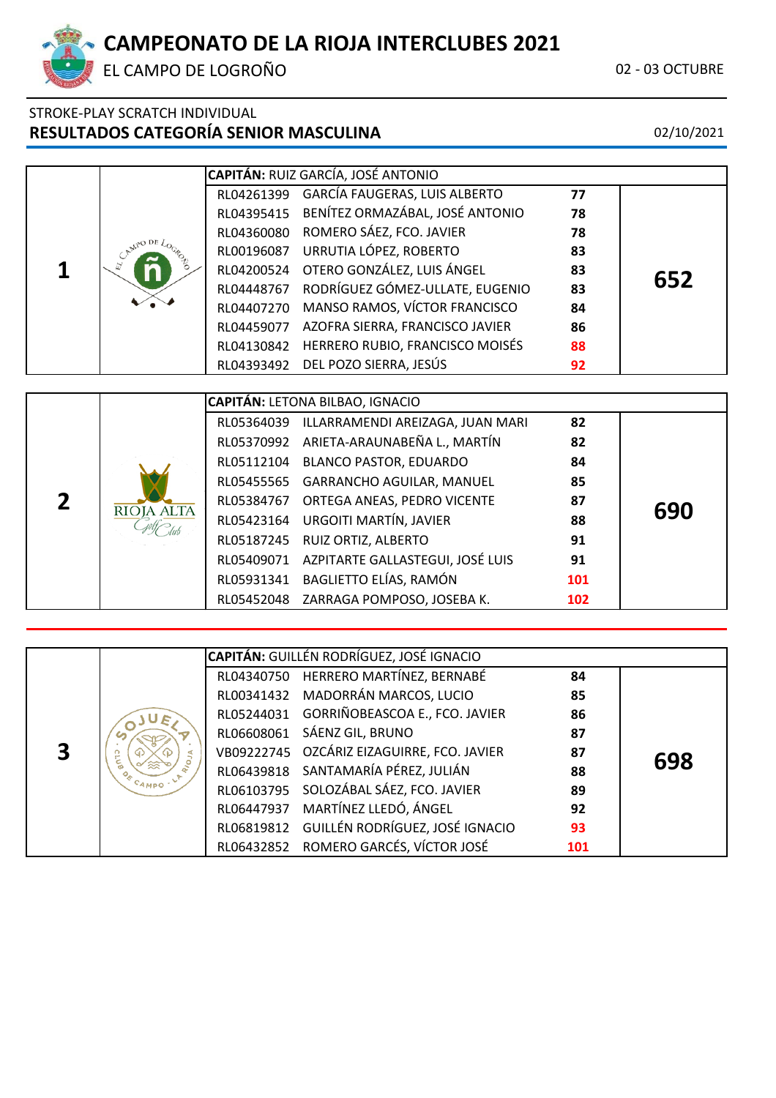

EL CAMPO DE LOGROÑO **02 - 03 OCTUBRE** 

# STROKE-PLAY SCRATCH INDIVIDUAL **RESULTADOS CATEGORÍA SENIOR MASCULINA** 02/10/2021

|  | <b>CAPITÁN: RUIZ GARCÍA, JOSÉ ANTONIO</b>  |    |     |
|--|--------------------------------------------|----|-----|
|  | RL04261399 GARCÍA FAUGERAS, LUIS ALBERTO   | 77 |     |
|  | RL04395415 BENÍTEZ ORMAZÁBAL, JOSÉ ANTONIO | 78 |     |
|  | RL04360080 ROMERO SÁEZ, FCO. JAVIER        | 78 |     |
|  | RL00196087 URRUTIA LÓPEZ, ROBERTO          | 83 |     |
|  | RL04200524 OTERO GONZÁLEZ, LUIS ÁNGEL      | 83 |     |
|  | RL04448767 RODRÍGUEZ GÓMEZ-ULLATE, EUGENIO | 83 | 652 |
|  | RL04407270 MANSO RAMOS, VÍCTOR FRANCISCO   | 84 |     |
|  | RL04459077 AZOFRA SIERRA, FRANCISCO JAVIER | 86 |     |
|  | RL04130842 HERRERO RUBIO, FRANCISCO MOISÉS | 88 |     |
|  | RL04393492 DEL POZO SIERRA, JESÚS          | 92 |     |

|                   | <b>CAPITÁN: LETONA BILBAO, IGNACIO</b>      |     |     |
|-------------------|---------------------------------------------|-----|-----|
|                   | RL05364039 ILLARRAMENDI AREIZAGA, JUAN MARI | 82  |     |
|                   | RL05370992 ARIETA-ARAUNABEÑA L., MARTÍN     | 82  |     |
|                   | RL05112104 BLANCO PASTOR, EDUARDO           | 84  |     |
|                   | RL05455565 GARRANCHO AGUILAR, MANUEL        | 85  |     |
| <b>RIOJA ALTA</b> | RL05384767 ORTEGA ANEAS, PEDRO VICENTE      | 87  |     |
|                   | RL05423164 URGOITI MARTÍN, JAVIER           | 88  | 690 |
|                   | RL05187245 RUIZ ORTIZ, ALBERTO              | 91  |     |
|                   | RL05409071 AZPITARTE GALLASTEGUI, JOSÉ LUIS | 91  |     |
|                   | RL05931341 BAGLIETTO ELÍAS, RAMÓN           | 101 |     |
|                   | RL05452048 ZARRAGA POMPOSO, JOSEBA K.       | 102 |     |

|  |                        | <b>CAPITÁN: GUILLÉN RODRÍGUEZ, JOSÉ IGNACIO</b> |     |     |
|--|------------------------|-------------------------------------------------|-----|-----|
|  |                        | RL04340750 HERRERO MARTÍNEZ, BERNABÉ            | 84  |     |
|  |                        | RL00341432 MADORRÁN MARCOS, LUCIO               | 85  |     |
|  |                        | RL05244031 GORRIÑOBEASCOA E., FCO. JAVIER       | 86  |     |
|  |                        | RL06608061 SÁENZ GIL, BRUNO                     | 87  |     |
|  | g<br><sup>C</sup> AMPO | VB09222745 OZCÁRIZ EIZAGUIRRE, FCO. JAVIER      | 87  | 698 |
|  |                        | RL06439818 SANTAMARÍA PÉREZ, JULIÁN             | 88  |     |
|  |                        | RL06103795 SOLOZÁBAL SÁEZ, FCO. JAVIER          | 89  |     |
|  |                        | RL06447937 MARTÍNEZ LLEDÓ, ÁNGEL                | 92  |     |
|  |                        | RL06819812 GUILLÉN RODRÍGUEZ, JOSÉ IGNACIO      | 93  |     |
|  |                        | RL06432852 ROMERO GARCÉS, VÍCTOR JOSÉ           | 101 |     |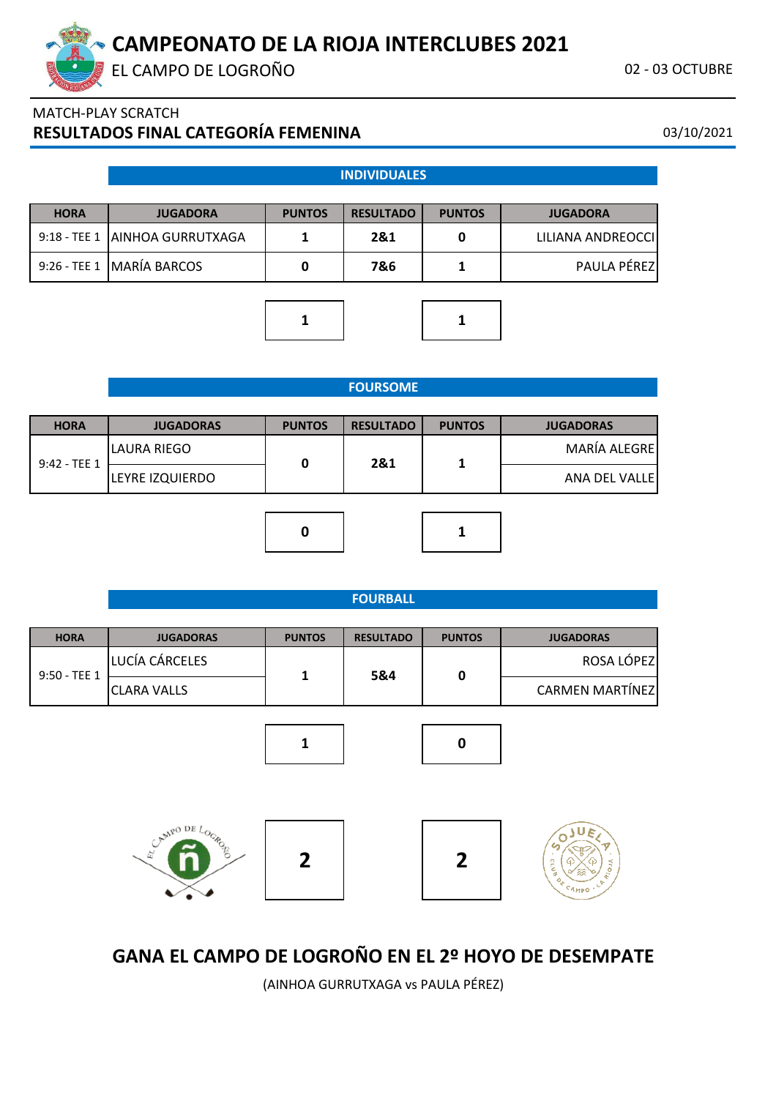EL CAMPO DE LOGROÑO **02 - 03 OCTUBRE** 

# MATCH-PLAY SCRATCH **RESULTADOS FINAL CATEGORÍA FEMENINA** 03/10/2021

#### **INDIVIDUALES**

| <b>HORA</b> | <b>PUNTOS</b><br><b>JUGADORA</b> |  | <b>PUNTOS</b><br><b>RESULTADO</b> |  | <b>JUGADORA</b>    |  |
|-------------|----------------------------------|--|-----------------------------------|--|--------------------|--|
|             | 9:18 - TEE 1   AINHOA GURRUTXAGA |  | 2&1                               |  | LILIANA ANDREOCCII |  |
|             | 9:26 - TEE 1   MARÍA BARCOS      |  | 7&6                               |  | PAULA PÉREZ        |  |





#### **FOURSOME**

| <b>HORA</b>   | <b>JUGADORAS</b> | <b>PUNTOS</b> | <b>RESULTADO</b> | <b>PUNTOS</b> | <b>JUGADORAS</b> |
|---------------|------------------|---------------|------------------|---------------|------------------|
| $9:42 - TEE1$ | LAURA RIEGO      |               |                  |               | MARÍA ALEGRE     |
|               | LEYRE IZQUIERDO  |               | 2&1              |               | ANA DEL VALLEI   |
|               |                  |               |                  |               |                  |

#### **FOURBALL**

**0 1**

| <b>HORA</b>  | <b>JUGADORAS</b>   | <b>PUNTOS</b> | <b>RESULTADO</b> | <b>PUNTOS</b> | <b>JUGADORAS</b>       |
|--------------|--------------------|---------------|------------------|---------------|------------------------|
| 9:50 - TEE 1 | LUCÍA CÁRCELES     |               |                  | 0             | ROSA LÓPEZ             |
|              | <b>CLARA VALLS</b> |               | 5&4              |               | <b>CARMEN MARTÍNEZ</b> |











# **GANA EL CAMPO DE LOGROÑO EN EL 2º HOYO DE DESEMPATE**

(AINHOA GURRUTXAGA vs PAULA PÉREZ)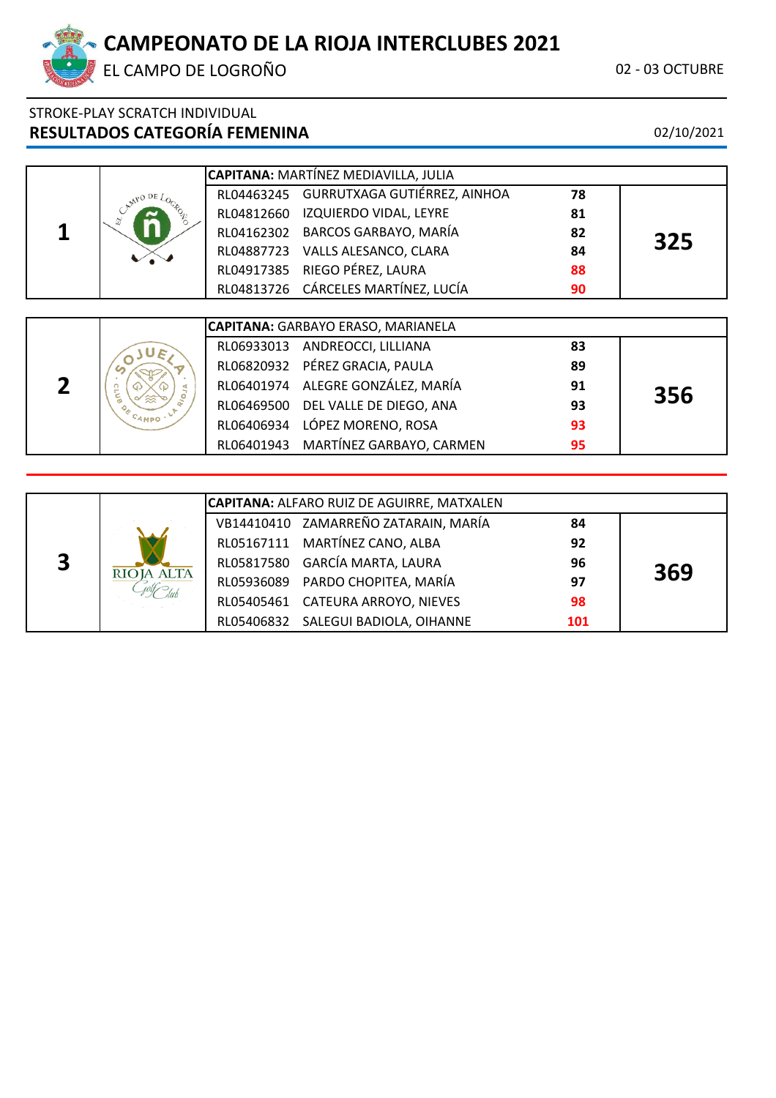

EL CAMPO DE LOGROÑO **02 - 03 OCTUBRE** 

# STROKE-PLAY SCRATCH INDIVIDUAL **RESULTADOS CATEGORÍA FEMENINA** 02/10/2021

|       | CAPITANA: MARTÍNEZ MEDIAVILLA, JULIA |                                           |    |     |  |  |
|-------|--------------------------------------|-------------------------------------------|----|-----|--|--|
|       |                                      | RL04463245 GURRUTXAGA GUTIÉRREZ, AINHOA   | 78 |     |  |  |
|       |                                      | RL04812660 IZQUIERDO VIDAL, LEYRE         | 81 |     |  |  |
|       |                                      | RL04162302 BARCOS GARBAYO, MARÍA          | 82 | 325 |  |  |
|       |                                      | RL04887723 VALLS ALESANCO, CLARA          | 84 |     |  |  |
|       |                                      | RL04917385 RIEGO PÉREZ, LAURA             | 88 |     |  |  |
|       |                                      | RL04813726 CÁRCELES MARTÍNEZ, LUCÍA       | 90 |     |  |  |
|       |                                      |                                           |    |     |  |  |
|       |                                      | <b>CAPITANA: GARBAYO ERASO, MARIANELA</b> |    |     |  |  |
| $J_F$ |                                      | RL06933013 ANDREOCCI, LILLIANA            | 83 |     |  |  |
|       |                                      | RL06820932 PÉREZ GRACIA, PAULA            | 89 |     |  |  |

|      |            | <b>INLOUGZUJJZ FLINLZ UNACIA, FAULA</b> | 03 |     |
|------|------------|-----------------------------------------|----|-----|
|      |            | RL06401974 ALEGRE GONZÁLEZ, MARÍA       | 91 | 356 |
|      |            | RL06469500 DEL VALLE DE DIEGO, ANA      | 93 |     |
| Амро |            | RL06406934 LÓPEZ MORENO, ROSA           | 93 |     |
|      | RL06401943 | MARTÍNEZ GARBAYO, CARMEN                | 95 |     |
|      |            |                                         |    |     |

|              |            | CAPITANA: ALFARO RUIZ DE AGUIRRE, MATXALEN |                                      |     |     |  |  |  |
|--------------|------------|--------------------------------------------|--------------------------------------|-----|-----|--|--|--|
|              |            |                                            | VB14410410 ZAMARREÑO ZATARAIN, MARÍA | 84  |     |  |  |  |
|              |            |                                            | RL05167111 MARTÍNEZ CANO, ALBA       | 92  |     |  |  |  |
| $\mathbf{3}$ |            |                                            | RL05817580 GARCÍA MARTA, LAURA<br>96 |     | 369 |  |  |  |
|              | RIOJA ALTA |                                            | RL05936089 PARDO CHOPITEA, MARÍA     | 97  |     |  |  |  |
|              |            |                                            | RL05405461 CATEURA ARROYO, NIEVES    | 98  |     |  |  |  |
|              |            |                                            | RL05406832 SALEGUI BADIOLA, OIHANNE  | 101 |     |  |  |  |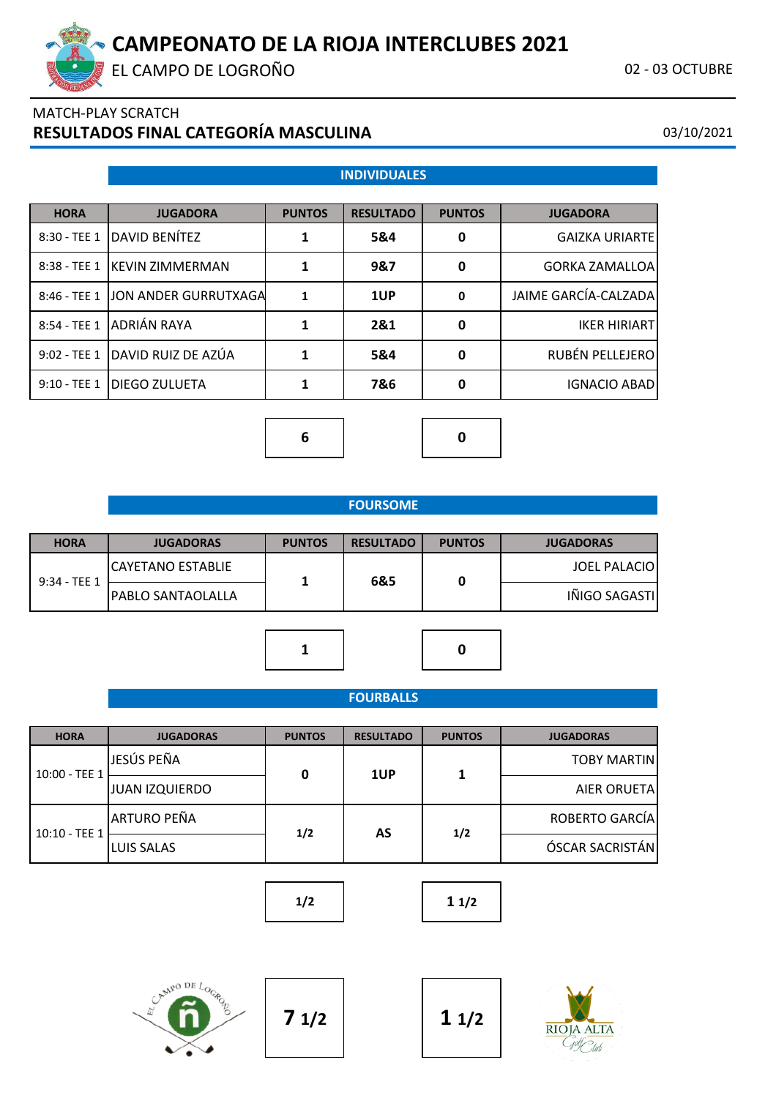EL CAMPO DE LOGROÑO **02 - 03 OCTUBRE** 

# MATCH-PLAY SCRATCH **RESULTADOS FINAL CATEGORÍA MASCULINA** 03/10/2021

# **INDIVIDUALES**

| <b>HORA</b>   | <b>JUGADORA</b>                   | <b>PUNTOS</b> | <b>RESULTADO</b> | <b>PUNTOS</b> | <b>JUGADORA</b>       |
|---------------|-----------------------------------|---------------|------------------|---------------|-----------------------|
|               | 8:30 - TEE 1 DAVID BENÍTEZ        |               | 5&4              | 0             | <b>GAIZKA URIARTE</b> |
| 8:38 - TEE 1  | <b>IKEVIN ZIMMERMAN</b>           | 1             | 9&7              | $\mathbf{0}$  | <b>GORKA ZAMALLOA</b> |
|               | 8:46 - TEE 1 JON ANDER GURRUTXAGA | 1             | 1UP              | $\mathbf 0$   | JAIME GARCÍA-CALZADA  |
| 8:54 - TEE 1  | ADRIÁN RAYA                       |               | 2&1              | 0             | <b>IKER HIRIART</b>   |
|               | 9:02 - TEE 1 DAVID RUIZ DE AZÚA   | 1             | 5&4              | 0             | RUBÉN PELLEJERO       |
| $9:10 - TEE1$ | <b>IDIEGO ZULUETA</b>             |               | 7&6              | 0             | <b>IGNACIO ABAD</b>   |

**6 0**

| <b>HORA</b>  | <b>JUGADORAS</b>         | <b>PUNTOS</b> | <b>RESULTADO</b> | <b>PUNTOS</b> | <b>JUGADORAS</b>    |
|--------------|--------------------------|---------------|------------------|---------------|---------------------|
| 9:34 - TEE 1 | <b>CAYETANO ESTABLIE</b> |               |                  |               | <b>JOEL PALACIO</b> |
|              | IPABLO SANTAOLALLA       |               | 6&5              |               | IÑIGO SAGASTI       |
|              |                          |               |                  |               |                     |

### **FOURBALLS**

**1 0**

| <b>HORA</b>   | <b>JUGADORAS</b>      | <b>PUNTOS</b> | <b>RESULTADO</b> | <b>PUNTOS</b> | <b>JUGADORAS</b>    |
|---------------|-----------------------|---------------|------------------|---------------|---------------------|
| 10:00 - TEE 1 | JESÚS PEÑA            | 0             | 1UP              |               | <b>TOBY MARTIN</b>  |
|               | <b>JUAN IZQUIERDO</b> |               |                  |               | <b>AIER ORUETAL</b> |
| 10:10 - TEE 1 | ARTURO PEÑA           |               |                  |               | ROBERTO GARCÍA      |
|               | <b>LUIS SALAS</b>     | 1/2           | AS               | 1/2           | ÓSCAR SACRISTÁN     |

**1/2 1 1/2**